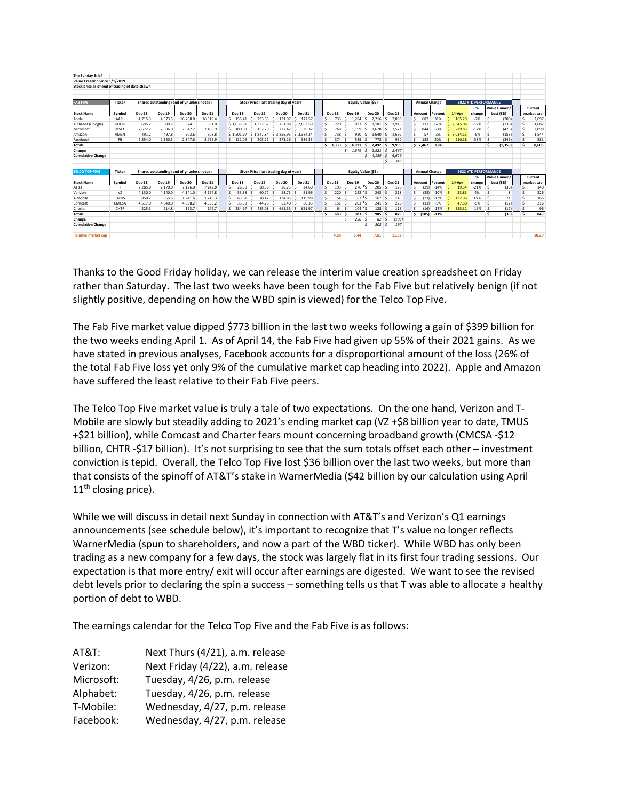| <b>The Sunday Brief</b>                        |                |               |         |                                             |               |               |                                        |                            |               |               |               |                          |               |                           |                      |         |                |        |                             |        |                            |   |                       |
|------------------------------------------------|----------------|---------------|---------|---------------------------------------------|---------------|---------------|----------------------------------------|----------------------------|---------------|---------------|---------------|--------------------------|---------------|---------------------------|----------------------|---------|----------------|--------|-----------------------------|--------|----------------------------|---|-----------------------|
| Value Creation Since 1/1/2019                  |                |               |         |                                             |               |               |                                        |                            |               |               |               |                          |               |                           |                      |         |                |        |                             |        |                            |   |                       |
| Stock price as of end of trading of date shown |                |               |         |                                             |               |               |                                        |                            |               |               |               |                          |               |                           |                      |         |                |        |                             |        |                            |   |                       |
|                                                |                |               |         |                                             |               |               |                                        |                            |               |               |               |                          |               |                           |                      |         |                |        |                             |        |                            |   |                       |
|                                                |                |               |         |                                             |               |               |                                        |                            |               |               |               |                          |               |                           |                      |         |                |        |                             |        |                            |   |                       |
| <b>FAB FIVE</b>                                | <b>Ticker</b>  |               |         | Shares outstanding (end of yr unless noted) |               |               | Stock Price (last trading day of year) |                            |               |               |               | <b>Equity Value (SB)</b> |               |                           | <b>Annual Change</b> |         |                |        | <b>2022 YTD PERFORMANCE</b> |        |                            |   |                       |
| <b>Stock Name</b>                              | Symbol         | <b>Dec-18</b> | Dec-19  | <b>Dec-20</b>                               | Dec-21        | <b>Dec-18</b> | <b>Dec-19</b>                          | <b>Dec-20</b>              | <b>Dec-21</b> | <b>Dec-18</b> | Dec-19        |                          | <b>Dec-20</b> | <b>Dec-21</b>             | Amount               | Percent | 14-Apr         |        | %<br>change                 |        | Value Gained/<br>Lost (SB) |   | Current<br>market cap |
| Apple                                          | AAPL           | 4.715.3       | 4.373.5 | 16.788.0                                    | 16.319.4      | \$155.41      | 293.65<br>s                            | 131.97<br>-S               | 177.57<br>s   | 733<br>s      | 1.284         |                          | 2.216         | 2.898                     | 682<br>s             | 31%     | 165.29         |        | $-7%$                       | l S    | (200)                      | Ś | 2,697                 |
| Alphabet (Google)                              | GOOG           | 695.2         | 689.7   | 674.1                                       | 661.0         | \$1,035.61    | S 1.337.62 S 1.751.88                  |                            | \$2.893.59    | 720           | 923           |                          | 1.181         | ı s<br>1.913              | 732                  | 62%     | 2.545.06       |        | $-12%$                      | ∣ <.   | (230)                      | ۹ | 1.682                 |
| Microsoft                                      | MSFT           | 7.672.2       | 7.606.0 | 7.542.2                                     | 7.496.9       | \$100.09      | l s                                    | 157.70 S 222.42            | ۱s.<br>336.32 | 768           | 1.199         | s.                       | $1.678$ S     | 2.521                     | s<br>844             | 50%     | 279.83         |        | $-17%$                      | $\sim$ | (423)                      | ۹ | 2,098                 |
|                                                | AMZN           | 491.2         | 497.8   | 503.6                                       | 508.8         |               | S 1.501.97 S 1.847.84 S 3.256.93       |                            | \$3,334.34    | 738           | 920<br>-S     |                          | 1.640S        | 1.697                     | s                    | 3%      | 3.034.13<br>s. |        | $-9%$                       | ∣ <    | (153)                      | S | 1.544                 |
| Amazon<br>Facebook                             | <b>FB</b>      | 2.854.0       | 2.850.5 | 2.847.6                                     | 2.765.9       | $S$ 131.09 S  |                                        | 205.25 \$ 273.16 \$ 336.35 |               | s<br>374      | 585           | s.<br>.s                 | 778           | $\hat{\mathbf{z}}$<br>930 | 57<br>s.<br>152      | 20%     | 210.18         |        | $-38%$                      |        | (349)                      |   | 581                   |
| <b>Totals</b>                                  |                |               |         |                                             |               |               |                                        |                            |               | \$3.333       | 4.911 S<br>-S |                          | 7.492 S       | 9.959                     | \$2.467              | 33%     |                |        |                             |        |                            | Ś | 8.603                 |
|                                                |                |               |         |                                             |               |               |                                        |                            |               |               | $5$ 1.579     | s                        | 2.581         | 2.467                     |                      |         |                |        |                             |        | (1, 356)                   |   |                       |
| Change                                         |                |               |         |                                             |               |               |                                        |                            |               |               |               |                          |               | 5                         |                      |         |                |        |                             |        |                            |   |                       |
| <b>Cumulative Change</b>                       |                |               |         |                                             |               |               |                                        |                            |               |               |               |                          | 54.159        | 6.626<br>l S              |                      |         |                |        |                             |        |                            |   |                       |
|                                                |                |               |         |                                             |               |               |                                        |                            |               |               |               |                          |               | 345<br>S                  |                      |         |                |        |                             |        |                            |   |                       |
| <b>TELCO TOP FIVE</b>                          | Ticker         |               |         | Shares outstanding (end of vr unless noted) |               |               | Stock Price (last trading day of year) |                            |               |               |               | <b>Equity Value (SB)</b> |               |                           | <b>Annual Change</b> |         |                |        | <b>2022 YTD PERFORMANCE</b> |        |                            |   |                       |
|                                                |                |               |         |                                             |               |               |                                        |                            |               |               |               |                          |               |                           |                      |         |                |        | %                           |        | Value Gained/              |   | Current               |
| <b>Stock Name</b>                              | Symbol         | <b>Dec-18</b> | Dec-19  | <b>Dec-20</b>                               | <b>Dec-21</b> | <b>Dec-18</b> | Dec-19                                 | Dec-20                     | <b>Dec-21</b> | <b>Dec-18</b> | <b>Dec-19</b> |                          | <b>Dec-20</b> | <b>Dec-21</b>             | Amount               | Percent | 14-Apr         |        | change                      |        | Lost (\$B)                 |   | market cap            |
| AT&T                                           |                | 7.285.0       | 7.170.0 | 7.126.0                                     | 7.142.0       | 26.50         | 38.56                                  | 28.75<br>.s                | 24.60         | 193           | 276           |                          | 205           | 176<br>S                  | (29)<br>s            | $-14%$  |                | 19.54  | $-21%$                      | ∣\$    | (36)                       | Ś | 140                   |
| Verizon                                        | V <sub>7</sub> | 4.130.0       | 4.140.0 | 4.141.0                                     | 4.197.8       | 53.38         | 60.77                                  | 58.73<br>ı.                | 51.96<br>-S   | 220           | 252           |                          | 243           | 218<br>۱s,                | (25)                 | $-10%$  |                | 53.83  | 4%                          |        | я                          |   | 226                   |
| T-Mobile                                       | <b>TMUS</b>    | 850.2         | 855.6   | 1.241.6                                     | 1.249.3       | 63.61         | 78.42<br>-9                            | 134.85<br>.s               | 115.98<br>.s  | Ś<br>54       | 67<br>- ¢     |                          | 167           | ۱s,<br>145                | s<br>(23)            | $-13%$  |                | 132.96 | 15%                         | ∣ <    | 21                         | Ś | 166                   |
| Comcast                                        | CMCSA          | 4.517.0       | 4.540.0 | 4.598.2                                     | 4.533.2       | 33.39         | 44.76                                  | .s<br>52.40                | 50.33<br>-S   | 151           | 203<br>-S     |                          | 241           | 228<br>$\sim$             | s<br>(13)            | $-5%$   |                | 47.58  | $-5%$                       | ∣ <    | (12)                       | S | 216                   |
| Charter                                        | CHTR           | 225.3         | 214.8   | 193.7                                       | 172.7         | $S$ 284.97 S  | 485.08 S                               | 661.55 S                   | 651.97        | 64            | 104           |                          | 128S          | 113                       | s.<br>(16)           | $-12%$  | 555.32         |        | $-15%$                      |        | (17)                       | ¢ | 96                    |
| <b>Totals</b>                                  |                |               |         |                                             |               |               |                                        |                            |               | 683<br>Ś      | 903           |                          | 985 S         | 879                       | \$ (105)             | $-11%$  |                |        |                             | s      | (36)                       | S | 843                   |
| Change                                         |                |               |         |                                             |               |               |                                        |                            |               |               | 220           |                          | 82            | (105)<br>-S               |                      |         |                |        |                             |        |                            |   |                       |
| <b>Cumulative Change</b>                       |                |               |         |                                             |               |               |                                        |                            |               |               |               |                          | 302           | 197<br>S,                 |                      |         |                |        |                             |        |                            |   |                       |
| <b>Relative market cap</b>                     |                |               |         |                                             |               |               |                                        |                            |               | 4.88          | 5.44          |                          | 7.61          | 11.32                     |                      |         |                |        |                             |        |                            |   | 10.20                 |

Thanks to the Good Friday holiday, we can release the interim value creation spreadsheet on Friday rather than Saturday. The last two weeks have been tough for the Fab Five but relatively benign (if not slightly positive, depending on how the WBD spin is viewed) for the Telco Top Five.

The Fab Five market value dipped \$773 billion in the last two weeks following a gain of \$399 billion for the two weeks ending April 1. As of April 14, the Fab Five had given up 55% of their 2021 gains. As we have stated in previous analyses, Facebook accounts for a disproportional amount of the loss (26% of the total Fab Five loss yet only 9% of the cumulative market cap heading into 2022). Apple and Amazon have suffered the least relative to their Fab Five peers.

The Telco Top Five market value is truly a tale of two expectations. On the one hand, Verizon and T-Mobile are slowly but steadily adding to 2021's ending market cap (VZ +\$8 billion year to date, TMUS +\$21 billion), while Comcast and Charter fears mount concerning broadband growth (CMCSA -\$12 billion, CHTR -\$17 billion). It's not surprising to see that the sum totals offset each other – investment conviction is tepid. Overall, the Telco Top Five lost \$36 billion over the last two weeks, but more than that consists of the spinoff of AT&T's stake in WarnerMedia (\$42 billion by our calculation using April 11<sup>th</sup> closing price).

While we will discuss in detail next Sunday in connection with AT&T's and Verizon's Q1 earnings announcements (see schedule below), it's important to recognize that T's value no longer reflects WarnerMedia (spun to shareholders, and now a part of the WBD ticker). While WBD has only been trading as a new company for a few days, the stock was largely flat in its first four trading sessions. Our expectation is that more entry/ exit will occur after earnings are digested. We want to see the revised debt levels prior to declaring the spin a success – something tells us that T was able to allocate a healthy portion of debt to WBD.

The earnings calendar for the Telco Top Five and the Fab Five is as follows:

| AT&T:      | Next Thurs (4/21), a.m. release  |
|------------|----------------------------------|
| Verizon:   | Next Friday (4/22), a.m. release |
| Microsoft: | Tuesday, 4/26, p.m. release      |
| Alphabet:  | Tuesday, 4/26, p.m. release      |
| T-Mobile:  | Wednesday, 4/27, p.m. release    |
| Facebook:  | Wednesday, 4/27, p.m. release    |